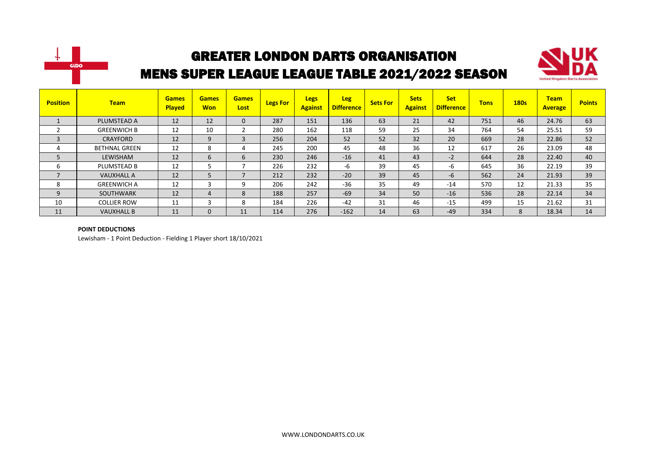



| <b>Position</b>          | <b>Team</b>          | <b>Games</b><br><b>Played</b> | <b>Games</b><br><b>Won</b> | <b>Games</b><br>Lost | <b>Legs For</b> | <b>Legs</b><br><b>Against</b> | <b>Leg</b><br><b>Difference</b> | <b>Sets For</b> | <b>Sets</b><br><b>Against</b> | <b>Set</b><br><b>Difference</b> | <b>Tons</b> | <b>180s</b> | <b>Team</b><br><b>Average</b> | <b>Points</b> |
|--------------------------|----------------------|-------------------------------|----------------------------|----------------------|-----------------|-------------------------------|---------------------------------|-----------------|-------------------------------|---------------------------------|-------------|-------------|-------------------------------|---------------|
|                          | PLUMSTEAD A          | 12                            | 12                         | 0                    | 287             | 151                           | 136                             | 63              | 21                            | 42                              | 751         | 46          | 24.76                         | 63            |
|                          | <b>GREENWICH B</b>   | 12                            | 10                         |                      | 280             | 162                           | 118                             | 59              | 25                            | 34                              | 764         | 54          | 25.51                         | 59            |
|                          | <b>CRAYFORD</b>      | 12                            | 9                          | 3                    | 256             | 204                           | 52                              | 52              | 32                            | 20                              | 669         | 28          | 22.86                         | 52            |
|                          | <b>BETHNAL GREEN</b> | 12                            | 8                          |                      | 245             | 200                           | 45                              | 48              | 36                            | 12                              | 617         | 26          | 23.09                         | 48            |
| 5                        | LEWISHAM             | 12                            | 6                          | 6                    | 230             | 246                           | $-16$                           | 41              | 43                            | $-2$                            | 644         | 28          | 22.40                         | 40            |
| ь                        | PLUMSTEAD B          | 12                            |                            |                      | 226             | 232                           | -6                              | 39              | 45                            | -6                              | 645         | 36          | 22.19                         | 39            |
| $\overline{\phantom{a}}$ | <b>VAUXHALL A</b>    | 12                            | 5                          | ⇁                    | 212             | 232                           | $-20$                           | 39              | 45                            | $-6$                            | 562         | 24          | 21.93                         | 39            |
| 8                        | <b>GREENWICH A</b>   | 12                            | 3                          | 9                    | 206             | 242                           | $-36$                           | 35              | 49                            | $-14$                           | 570         | 12          | 21.33                         | 35            |
| 9                        | SOUTHWARK            | 12                            | 4                          | 8                    | 188             | 257                           | $-69$                           | 34              | 50                            | $-16$                           | 536         | 28          | 22.14                         | 34            |
| 10                       | <b>COLLIER ROW</b>   | 11                            | 3                          | 8                    | 184             | 226                           | $-42$                           | 31              | 46                            | $-15$                           | 499         | 15          | 21.62                         | 31            |
| 11                       | <b>VAUXHALL B</b>    | 11                            | $\mathbf{0}$               | 11                   | 114             | 276                           | $-162$                          | 14              | 63                            | $-49$                           | 334         | 8           | 18.34                         | 14            |

#### **POINT DEDUCTIONS**

Lewisham - 1 Point Deduction - Fielding 1 Player short 18/10/2021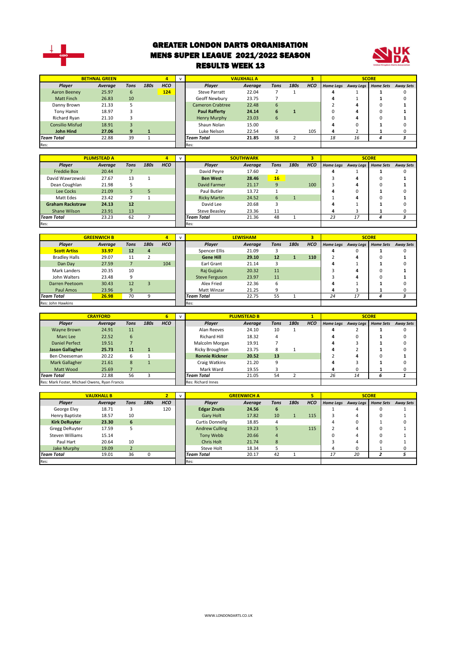

#### GREATER LONDON DARTS ORGANISATION MENS SUPER LEAGUE 2021/2022 SEASON RESULTS WEEK 13



|                        | <b>BETHNAL GREEN</b> |      |      |            |                                  | <b>VAUXHALL A</b> |             |      |            |    |                               | <b>SCORE</b> |                  |
|------------------------|----------------------|------|------|------------|----------------------------------|-------------------|-------------|------|------------|----|-------------------------------|--------------|------------------|
| Player                 | Average              | Tons | 180s | <b>HCO</b> | <b>Plaver</b>                    | Average           | <b>Tons</b> | 180s | <b>HCO</b> |    | Home Legs Away Legs Home Sets |              | <b>Away Sets</b> |
| Aaron Beeney           | 25.97                | 6    |      | 124        | <b>Steve Parratt</b>             | 22.04             |             |      |            |    |                               |              |                  |
| <b>Matt Finch</b>      | 26.83                | 10   |      |            | Geoff Newbury                    | 23.75             |             |      |            |    |                               |              |                  |
| Danny Brown            | 21.33                |      |      |            | Cameron Crabtree                 | 22.48             | 6           |      |            |    |                               |              |                  |
| Tony Hamit             | 18.97                |      |      |            | <b>Paul Rafferty</b>             | 24.14             | h           |      |            |    |                               |              |                  |
| Richard Ryan           | 21.10                |      |      |            | Henry Murphy                     | 23.03             | 6           |      |            |    |                               |              |                  |
| <b>Consilio Misfud</b> | 18.91                |      |      |            | Shaun Nolan                      | 15.00             |             |      |            |    |                               |              |                  |
| <b>John Hind</b>       | 27.06                | q    |      |            | Luke Nelson                      | 22.54             | h           |      | 105        |    |                               |              |                  |
| <b>Team Total</b>      | 22.88                | 39   |      |            | 38<br>21.85<br><b>Team Total</b> |                   |             |      | 18         | 16 |                               |              |                  |
| Res:                   |                      |      |      |            | Res:                             |                   |             |      |            |    |                               |              |                  |

|                         | <b>PLUMSTEAD A</b> |      |      |            | $\mathbf{v}$ |                     | <b>SOUTHWARK</b> |             |      |            |                  |           | <b>SCORE</b>     |                  |
|-------------------------|--------------------|------|------|------------|--------------|---------------------|------------------|-------------|------|------------|------------------|-----------|------------------|------------------|
| Player                  | Average            | Tons | 180s | <b>HCO</b> |              | Player              | Average          | <b>Tons</b> | 180s | <b>HCO</b> | <b>Home Legs</b> | Away Legs | <b>Home Sets</b> | <b>Away Sets</b> |
| <b>Freddie Box</b>      | 20.44              |      |      |            |              | David Peyre         | 17.60            |             |      |            | 4                |           |                  | $\Omega$         |
| David Wawrzewski        | 27.67              | 13   |      |            |              | <b>Ben West</b>     | 28.46            | 16          |      |            |                  | 4         | 0                |                  |
| Dean Coughlan           | 21.98              | 5    |      |            |              | David Farmer        | 21.17            | 9           |      | 100        | 3                | д         | 0                |                  |
| Lee Cocks               | 21.09              | 5.   |      |            |              | Paul Butler         | 13.72            |             |      |            | д                | 0         |                  |                  |
| Matt Edes               | 23.42              |      |      |            |              | <b>Ricky Martin</b> | 24.52            | 6           |      |            |                  | 4         | 0                |                  |
| <b>Graham Rackstraw</b> | 24.13              | 12   |      |            |              | David Lee           | 20.68            |             |      |            | 4                |           |                  |                  |
| Shane Wilson            | 23.91              | 13   |      |            |              | Steve Beasley       | 23.36            | 11          |      |            | 4                |           |                  |                  |
| <b>Team Total</b>       | 23.23              | 62   |      |            |              | <b>Team Total</b>   | 21.36            | 48          |      |            | 23               | 17        |                  |                  |
| Res:                    |                    |      |      |            |              | Res:                |                  |             |      |            |                  |           |                  |                  |

|                      | <b>GREENWICH B</b> |      |                | д          | $\mathbf{v}$ |                       | <b>LEWISHAM</b> |      |      | э          |                  |           | <b>SCORE</b>     |                  |
|----------------------|--------------------|------|----------------|------------|--------------|-----------------------|-----------------|------|------|------------|------------------|-----------|------------------|------------------|
| Plaver               | Average            | Tons | 180s           | <b>HCO</b> |              | Player                | Average         | Tons | 180s | <b>HCO</b> | <b>Home Legs</b> | Away Legs | <b>Home Sets</b> | <b>Away Sets</b> |
| <b>Scott Artiss</b>  | 33.97              | 12   | $\overline{a}$ |            |              | Spencer Ellis         | 21.09           |      |      |            |                  | 0         |                  |                  |
| <b>Bradley Halls</b> | 29.07              | 11   |                |            |              | <b>Gene Hill</b>      | 29.10           | 12   |      | 110        |                  | 4         | 0                |                  |
| Dan Day              | 27.59              |      |                | 104        |              | Earl Grant            | 21.14           |      |      |            |                  |           |                  |                  |
| Mark Landers         | 20.35              | 10   |                |            |              | Raj Gujjalu           | 20.32           | 11   |      |            |                  | 4         |                  |                  |
| John Walters         | 23.48              | 9    |                |            |              | <b>Steve Ferguson</b> | 23.97           | 11   |      |            |                  | 4         |                  |                  |
| Darren Peetoom       | 30.43              | 12   |                |            |              | Alex Fried            | 22.36           | 6    |      |            |                  |           |                  |                  |
| Paul Amos            | 23.96              | 9    |                |            |              | 21.25<br>Matt Winzar  |                 |      |      | 4          |                  |           |                  |                  |
| <b>Team Total</b>    | 26.98              | 70   | q              |            |              | Team Total<br>22.75   |                 | 55   |      |            | 24               | 17        |                  |                  |
| Res: John Hawkins    |                    |      |                |            |              | Res:                  |                 |      |      |            |                  |           |                  |                  |

|                                               | <b>CRAYFORD</b> |      |      |                   |                       | <b>PLUMSTEAD B</b> |      |      |            |                  |                  | <b>SCORE</b>     |                  |
|-----------------------------------------------|-----------------|------|------|-------------------|-----------------------|--------------------|------|------|------------|------------------|------------------|------------------|------------------|
| <b>Player</b>                                 | Average         | Tons | 180s | <b>HCO</b>        | Player                | Average            | Tons | 180s | <b>HCO</b> | <b>Home Legs</b> | <b>Away Legs</b> | <b>Home Sets</b> | <b>Away Sets</b> |
| Wayne Brown                                   | 24.91           | 11   |      |                   | Alan Reeves           | 24.10              | 10   |      |            |                  |                  |                  |                  |
| Marc Lee                                      | 22.52           | 6    |      |                   | Richard Hill          | 18.32              |      |      |            |                  |                  |                  |                  |
| Daniel Perfect                                | 19.51           |      |      |                   | Malcolm Morgan        | 19.91              |      |      |            |                  |                  |                  |                  |
| <b>Jason Gallagher</b>                        | 25.73<br>11     |      |      | Ricky Broughton   | 23.75                 |                    |      |      |            |                  |                  |                  |                  |
| Ben Cheeseman                                 | 20.22           | 6    |      |                   | <b>Ronnie Rickner</b> | 20.52              | 13   |      |            |                  |                  |                  |                  |
| Mark Gallagher                                | 21.61           | 8    |      |                   | Craig Watkins         | 21.20              |      |      |            |                  |                  |                  |                  |
| Matt Wood                                     | 25.69           |      |      |                   | Mark Ward             | 19.55              |      |      |            |                  |                  |                  |                  |
| <b>Team Total</b><br>56<br>22.88              |                 |      |      | <b>Team Total</b> | 21.05                 | 54                 |      |      | 26         | 14               | b                |                  |                  |
| Res: Mark Foster, Michael Owens, Ryan Francis |                 |      |      |                   | Res: Richard Innes    |                    |      |      |            |                  |                  |                  |                  |

|                      | <b>VAUXHALL B</b> |                |      |            | $\mathbf{v}$ |                                | <b>GREENWICH A</b> |      |      |            |    |                     | <b>SCORE</b>     |                  |
|----------------------|-------------------|----------------|------|------------|--------------|--------------------------------|--------------------|------|------|------------|----|---------------------|------------------|------------------|
| Player               | Average           | Tons           | 180s | <b>HCO</b> |              | <b>Plaver</b>                  | Average            | Tons | 180s | <b>HCO</b> |    | Home Legs Away Legs | <b>Home Sets</b> | <b>Away Sets</b> |
| George Elvy          | 18.71             |                |      | 120        |              | <b>Edgar Znutis</b>            | 24.56              | 6    |      |            |    |                     |                  |                  |
| Henry Baptiste       | 18.57             | 10             |      |            |              | 17.82<br>Gary Holt             |                    | 10   |      | 115        |    |                     | 0                |                  |
| <b>Kirk DeRuyter</b> | 23.30             | 6              |      |            |              | 18.85<br>Curtis Donnelly<br>4  |                    |      |      | 4          |    |                     |                  |                  |
| Gregg DeRuyter       | 17.59             |                |      |            |              | 19.23<br><b>Andrew Culling</b> |                    |      | 115  |            |    |                     |                  |                  |
| Steven Williams      | 15.14             |                |      |            |              | Tony Webb                      | 20.66              | 4    |      |            |    |                     |                  |                  |
| Paul Hart            | 20.64             | 10             |      |            |              | Chris Holt                     | 21.74              | 8    |      |            |    |                     |                  |                  |
| Jake Murphy          | 19.09             | $\overline{2}$ |      |            |              | Steve Holt                     | 18.34              |      |      |            | 4  |                     |                  |                  |
| <b>Team Total</b>    | 19.01             | 36             |      |            |              | 42<br>20.17<br>Team Total      |                    |      |      |            | 17 | 20                  |                  |                  |
| Res:                 |                   |                |      |            |              | Res:                           |                    |      |      |            |    |                     |                  |                  |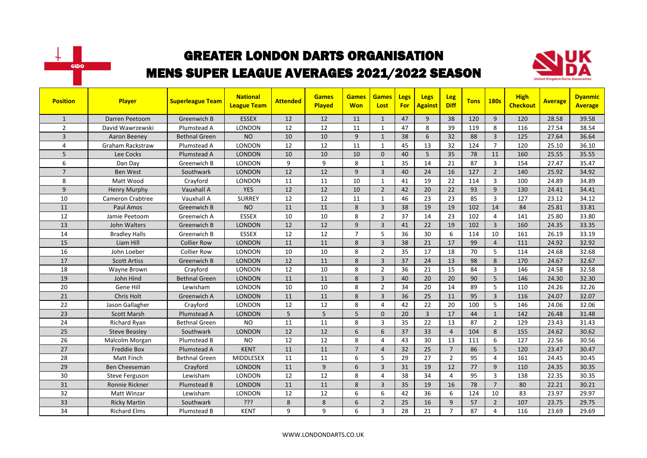



| <b>Position</b> | <b>Player</b>           | <b>Superleague Team</b> | <b>National</b><br><b>League Team</b> | <b>Attended</b> | <b>Games</b><br>Played | <b>Games</b><br><b>Won</b> | <b>Games</b><br>Lost | Legs<br><b>For</b> | <b>Legs</b><br><b>Against</b> | <b>Leg</b><br><b>Diff</b> | <b>Tons</b> | <b>180s</b>    | <b>High</b><br><b>Checkout</b> | <b>Average</b> | <b>Dyanmic</b><br><b>Average</b> |
|-----------------|-------------------------|-------------------------|---------------------------------------|-----------------|------------------------|----------------------------|----------------------|--------------------|-------------------------------|---------------------------|-------------|----------------|--------------------------------|----------------|----------------------------------|
| $\mathbf{1}$    | Darren Peetoom          | Greenwich B             | <b>ESSEX</b>                          | 12              | 12                     | 11                         | $\mathbf{1}$         | 47                 | $\mathbf{q}$                  | 38                        | 120         | 9              | 120                            | 28.58          | 39.58                            |
| $\overline{2}$  | David Wawrzewski        | Plumstead A             | <b>LONDON</b>                         | 12              | 12                     | 11                         | $\mathbf{1}$         | 47                 | 8                             | 39                        | 119         | 8              | 116                            | 27.54          | 38.54                            |
| 3               | Aaron Beeney            | <b>Bethnal Green</b>    | <b>NO</b>                             | 10              | 10                     | 9                          | $\mathbf{1}$         | 38                 | 6                             | 32                        | 88          | $\overline{3}$ | 125                            | 27.64          | 36.64                            |
| $\overline{a}$  | <b>Graham Rackstraw</b> | Plumstead A             | <b>LONDON</b>                         | 12              | 12                     | 11                         | 1                    | 45                 | 13                            | 32                        | 124         | $\overline{7}$ | 120                            | 25.10          | 36.10                            |
| 5               | Lee Cocks               | Plumstead A             | <b>LONDON</b>                         | 10              | 10                     | 10                         | $\Omega$             | 40                 | 5                             | 35                        | 78          | 11             | 160                            | 25.55          | 35.55                            |
| 6               | Dan Day                 | Greenwich B             | <b>LONDON</b>                         | 9               | 9                      | 8                          | $\mathbf{1}$         | 35                 | 14                            | 21                        | 87          | $\overline{3}$ | 154                            | 27.47          | 35.47                            |
| $\overline{7}$  | <b>Ben West</b>         | Southwark               | <b>LONDON</b>                         | 12              | 12                     | 9                          | $\overline{3}$       | 40                 | 24                            | 16                        | 127         | $\overline{2}$ | 140                            | 25.92          | 34.92                            |
| 8               | Matt Wood               | Crayford                | <b>LONDON</b>                         | 11              | 11                     | 10                         | $\mathbf{1}$         | 41                 | 19                            | 22                        | 114         | $\overline{3}$ | 100                            | 24.89          | 34.89                            |
| 9               | <b>Henry Murphy</b>     | Vauxhall A              | <b>YES</b>                            | 12              | 12                     | 10                         | $\overline{2}$       | 42                 | 20                            | 22                        | 93          | 9              | 130                            | 24.41          | 34.41                            |
| 10              | <b>Cameron Crabtree</b> | Vauxhall A              | <b>SURREY</b>                         | 12              | 12                     | 11                         | $\mathbf{1}$         | 46                 | 23                            | 23                        | 85          | $\overline{3}$ | 127                            | 23.12          | 34.12                            |
| 11              | Paul Amos               | Greenwich B             | <b>NO</b>                             | 11              | 11                     | 8                          | $\overline{3}$       | 38                 | 19                            | 19                        | 102         | 14             | 84                             | 25.81          | 33.81                            |
| 12              | Jamie Peetoom           | Greenwich A             | <b>ESSEX</b>                          | 10              | 10                     | 8                          | $\overline{2}$       | 37                 | 14                            | 23                        | 102         | $\overline{4}$ | 141                            | 25.80          | 33.80                            |
| 13              | John Walters            | Greenwich B             | <b>LONDON</b>                         | 12              | 12                     | 9                          | $\overline{3}$       | 41                 | 22                            | 19                        | 102         | $\overline{3}$ | 160                            | 24.35          | 33.35                            |
| 14              | <b>Bradley Halls</b>    | Greenwich B             | <b>ESSEX</b>                          | 12              | 12                     | $\overline{7}$             | 5                    | 36                 | 30                            | 6                         | 114         | 10             | 161                            | 26.19          | 33.19                            |
| 15              | Liam Hill               | <b>Collier Row</b>      | <b>LONDON</b>                         | 11              | 11                     | 8                          | $\overline{3}$       | 38                 | 21                            | 17                        | 99          | $\overline{4}$ | 111                            | 24.92          | 32.92                            |
| 16              | John Loeber             | <b>Collier Row</b>      | LONDON                                | 10              | 10                     | 8                          | $\overline{2}$       | 35                 | 17                            | 18                        | 70          | 5              | 114                            | 24.68          | 32.68                            |
| 17              | <b>Scott Artiss</b>     | Greenwich B             | <b>LONDON</b>                         | 12              | 11                     | 8                          | $\overline{3}$       | 37                 | 24                            | 13                        | 98          | 8              | 170                            | 24.67          | 32.67                            |
| 18              | Wayne Brown             | Crayford                | <b>LONDON</b>                         | 12              | 10                     | 8                          | $\overline{2}$       | 36                 | 21                            | 15                        | 84          | $\overline{3}$ | 146                            | 24.58          | 32.58                            |
| 19              | John Hind               | <b>Bethnal Green</b>    | <b>LONDON</b>                         | 11              | 11                     | 8                          | $\overline{3}$       | 40                 | 20                            | 20                        | 90          | 5              | 146                            | 24.30          | 32.30                            |
| 20              | Gene Hill               | Lewisham                | LONDON                                | 10              | 10                     | 8                          | $\overline{2}$       | 34                 | 20                            | 14                        | 89          | 5              | 110                            | 24.26          | 32.26                            |
| 21              | Chris Holt              | Greenwich A             | <b>LONDON</b>                         | 11              | 11                     | 8                          | $\overline{3}$       | 36                 | 25                            | 11                        | 95          | $\overline{3}$ | 116                            | 24.07          | 32.07                            |
| 22              | Jason Gallagher         | Crayford                | <b>LONDON</b>                         | 12              | 12                     | 8                          | $\overline{4}$       | 42                 | 22                            | 20                        | 100         | 5              | 146                            | 24.06          | 32.06                            |
| 23              | <b>Scott Marsh</b>      | Plumstead A             | <b>LONDON</b>                         | 5               | 5                      | 5                          | $\Omega$             | 20                 | $\overline{3}$                | 17                        | 44          | $\mathbf{1}$   | 142                            | 26.48          | 31.48                            |
| 24              | Richard Ryan            | Bethnal Green           | <b>NO</b>                             | 11              | 11                     | 8                          | $\overline{3}$       | 35                 | 22                            | 13                        | 87          | $\overline{2}$ | 129                            | 23.43          | 31.43                            |
| 25              | <b>Steve Beasley</b>    | Southwark               | <b>LONDON</b>                         | 12              | 12                     | 6                          | 6                    | 37                 | 33                            | $\overline{4}$            | 104         | 8              | 155                            | 24.62          | 30.62                            |
| 26              | Malcolm Morgan          | Plumstead B             | <b>NO</b>                             | 12              | 12                     | 8                          | $\overline{4}$       | 43                 | 30                            | 13                        | 111         | 6              | 127                            | 22.56          | 30.56                            |
| 27              | <b>Freddie Box</b>      | Plumstead A             | <b>KENT</b>                           | 11              | 11                     | $\overline{7}$             | $\overline{4}$       | 32                 | 25                            | $\overline{7}$            | 86          | 5              | 120                            | 23.47          | 30.47                            |
| 28              | Matt Finch              | <b>Bethnal Green</b>    | MIDDLESEX                             | 11              | 11                     | 6                          | 5                    | 29                 | 27                            | $\overline{2}$            | 95          | 4              | 161                            | 24.45          | 30.45                            |
| 29              | Ben Cheeseman           | Crayford                | <b>LONDON</b>                         | 11              | 9                      | 6                          | $\overline{3}$       | 31                 | 19                            | 12                        | 77          | 9              | 110                            | 24.35          | 30.35                            |
| 30              | <b>Steve Ferguson</b>   | Lewisham                | <b>LONDON</b>                         | 12              | 12                     | 8                          | $\overline{4}$       | 38                 | 34                            | $\overline{4}$            | 95          | 3              | 138                            | 22.35          | 30.35                            |
| 31              | Ronnie Rickner          | Plumstead B             | <b>LONDON</b>                         | 11              | 11                     | 8                          | $\overline{3}$       | 35                 | 19                            | 16                        | 78          | $\overline{7}$ | 80                             | 22.21          | 30.21                            |
| 32              | Matt Winzar             | Lewisham                | <b>LONDON</b>                         | 12              | 12                     | 6                          | 6                    | 42                 | 36                            | 6                         | 124         | 10             | 83                             | 23.97          | 29.97                            |
| 33              | <b>Ricky Martin</b>     | Southwark               | ?ְיָ                                  | 8               | 8                      | 6                          | $\overline{2}$       | 25                 | 16                            | 9                         | 57          | $\overline{2}$ | 107                            | 23.75          | 29.75                            |
| 34              | <b>Richard Elms</b>     | Plumstead B             | <b>KENT</b>                           | 9               | 9                      | 6                          | 3                    | 28                 | 21                            | $\overline{7}$            | 87          | 4              | 116                            | 23.69          | 29.69                            |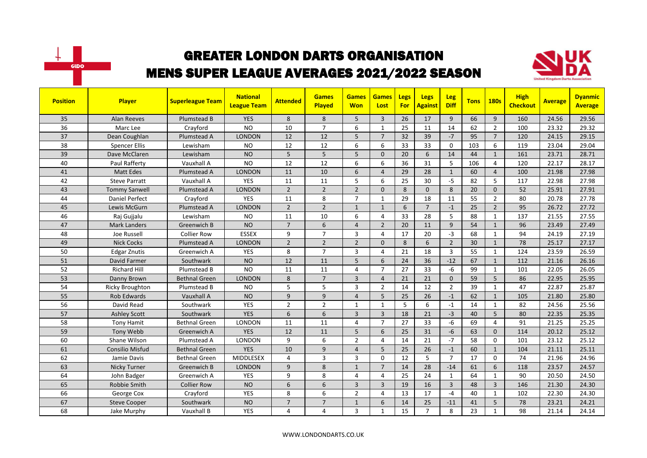



| <b>Position</b> | Player                 | <b>Superleague Team</b> | <b>National</b><br><b>League Team</b> | <b>Attended</b> | <b>Games</b><br>Played | <b>Games</b><br><b>Won</b> | <b>Games</b><br>Lost | Legs<br><b>For</b> | <b>Legs</b><br><b>Against</b> | <b>Leg</b><br><b>Diff</b> | <b>Tons</b> | <b>180s</b>    | <b>High</b><br><b>Checkout</b> | <b>Average</b> | <b>Dyanmic</b><br><b>Average</b> |
|-----------------|------------------------|-------------------------|---------------------------------------|-----------------|------------------------|----------------------------|----------------------|--------------------|-------------------------------|---------------------------|-------------|----------------|--------------------------------|----------------|----------------------------------|
| 35              | <b>Alan Reeves</b>     | Plumstead B             | <b>YES</b>                            | 8               | 8                      | 5                          | $\overline{3}$       | 26                 | 17                            | 9                         | 66          | $\overline{9}$ | 160                            | 24.56          | 29.56                            |
| 36              | Marc Lee               | Crayford                | <b>NO</b>                             | 10              | $\overline{7}$         | 6                          | 1                    | 25                 | 11                            | 14                        | 62          | $\overline{2}$ | 100                            | 23.32          | 29.32                            |
| 37              | Dean Coughlan          | Plumstead A             | <b>LONDON</b>                         | 12              | 12                     | 5                          | $\overline{7}$       | 32                 | 39                            | $-7$                      | 95          | $\overline{7}$ | 120                            | 24.15          | 29.15                            |
| 38              | <b>Spencer Ellis</b>   | Lewisham                | <b>NO</b>                             | 12              | 12                     | 6                          | 6                    | 33                 | 33                            | $\mathbf 0$               | 103         | 6              | 119                            | 23.04          | 29.04                            |
| 39              | Dave McClaren          | Lewisham                | <b>NO</b>                             | 5               | 5                      | 5                          | $\Omega$             | 20                 | 6                             | 14                        | 44          | $\mathbf{1}$   | 161                            | 23.71          | 28.71                            |
| 40              | Paul Rafferty          | Vauxhall A              | <b>NO</b>                             | 12              | 12                     | 6                          | 6                    | 36                 | 31                            | 5                         | 106         | 4              | 120                            | 22.17          | 28.17                            |
| 41              | <b>Matt Edes</b>       | Plumstead A             | <b>LONDON</b>                         | 11              | 10                     | 6                          | $\overline{4}$       | 29                 | 28                            | $\mathbf{1}$              | 60          | $\overline{4}$ | 100                            | 21.98          | 27.98                            |
| 42              | <b>Steve Parratt</b>   | Vauxhall A              | <b>YES</b>                            | 11              | 11                     | 5                          | 6                    | 25                 | 30                            | $-5$                      | 82          | 5              | 117                            | 22.98          | 27.98                            |
| 43              | <b>Tommy Sanwell</b>   | Plumstead A             | <b>LONDON</b>                         | $\overline{2}$  | $\overline{2}$         | $\overline{2}$             | $\Omega$             | 8                  | $\mathbf{0}$                  | 8                         | 20          | $\mathbf{0}$   | 52                             | 25.91          | 27.91                            |
| 44              | <b>Daniel Perfect</b>  | Crayford                | <b>YES</b>                            | 11              | 8                      | $\overline{7}$             | $\mathbf{1}$         | 29                 | 18                            | 11                        | 55          | $\overline{2}$ | 80                             | 20.78          | 27.78                            |
| 45              | Lewis McGurn           | Plumstead A             | <b>LONDON</b>                         | $\overline{2}$  | $\overline{2}$         | $\mathbf{1}$               | $\mathbf{1}$         | 6                  | $\overline{7}$                | $-1$                      | 25          | $\overline{2}$ | 95                             | 26.72          | 27.72                            |
| 46              | Rai Guijalu            | Lewisham                | <b>NO</b>                             | 11              | 10                     | 6                          | $\overline{4}$       | 33                 | 28                            | 5                         | 88          | 1              | 137                            | 21.55          | 27.55                            |
| 47              | <b>Mark Landers</b>    | Greenwich B             | <b>NO</b>                             | $\overline{7}$  | 6                      | $\overline{4}$             | $\overline{2}$       | 20                 | 11                            | 9                         | 54          | $\mathbf{1}$   | 96                             | 23.49          | 27.49                            |
| 48              | Joe Russell            | <b>Collier Row</b>      | <b>ESSEX</b>                          | 9               | $\overline{7}$         | 3                          | $\overline{4}$       | 17                 | 20                            | $-3$                      | 68          | $\mathbf{1}$   | 94                             | 24.19          | 27.19                            |
| 49              | <b>Nick Cocks</b>      | Plumstead A             | <b>LONDON</b>                         | $\overline{2}$  | $\overline{2}$         | $\overline{2}$             | $\Omega$             | 8                  | 6                             | $\overline{2}$            | 30          | $\mathbf{1}$   | $\overline{78}$                | 25.17          | 27.17                            |
| 50              | <b>Edgar Znutis</b>    | Greenwich A             | <b>YES</b>                            | 8               | $\overline{7}$         | 3                          | $\overline{4}$       | 21                 | 18                            | $\overline{3}$            | 55          | $\mathbf{1}$   | 124                            | 23.59          | 26.59                            |
| 51              | David Farmer           | Southwark               | <b>NO</b>                             | 12              | 11                     | 5                          | 6                    | 24                 | 36                            | $-12$                     | 67          | $\mathbf{1}$   | 112                            | 21.16          | 26.16                            |
| 52              | <b>Richard Hill</b>    | Plumstead B             | <b>NO</b>                             | 11              | 11                     | 4                          | $\overline{7}$       | 27                 | 33                            | $-6$                      | 99          | $\mathbf{1}$   | 101                            | 22.05          | 26.05                            |
| 53              | Danny Brown            | <b>Bethnal Green</b>    | <b>LONDON</b>                         | 8               | $\overline{7}$         | $\overline{3}$             | $\overline{4}$       | 21                 | 21                            | $\mathbf{0}$              | 59          | 5              | 86                             | 22.95          | 25.95                            |
| 54              | <b>Ricky Broughton</b> | Plumstead B             | <b>NO</b>                             | 5               | 5                      | 3                          | $\overline{2}$       | 14                 | 12                            | $\overline{2}$            | 39          | 1              | 47                             | 22.87          | 25.87                            |
| 55              | <b>Rob Edwards</b>     | Vauxhall A              | <b>NO</b>                             | 9               | 9                      | $\overline{4}$             | 5                    | 25                 | 26                            | $-1$                      | 62          | $\mathbf{1}$   | 105                            | 21.80          | 25.80                            |
| 56              | David Read             | Southwark               | YES                                   | $\overline{2}$  | $\overline{2}$         | 1                          | $\mathbf{1}$         | 5                  | 6                             | $\mathbf{-1}$             | 14          | $\mathbf{1}$   | 82                             | 24.56          | 25.56                            |
| 57              | <b>Ashley Scott</b>    | Southwark               | <b>YES</b>                            | 6               | 6                      | $\overline{3}$             | $\overline{3}$       | 18                 | 21                            | $-3$                      | 40          | 5              | 80                             | 22.35          | 25.35                            |
| 58              | <b>Tony Hamit</b>      | Bethnal Green           | <b>LONDON</b>                         | 11              | 11                     | 4                          | $\overline{7}$       | 27                 | 33                            | $-6$                      | 69          | $\overline{4}$ | 91                             | 21.25          | 25.25                            |
| 59              | Tony Webb              | Greenwich A             | <b>YES</b>                            | 12              | 11                     | 5                          | 6                    | 25                 | 31                            | $-6$                      | 63          | $\mathbf{0}$   | 114                            | 20.12          | 25.12                            |
| 60              | Shane Wilson           | Plumstead A             | <b>LONDON</b>                         | 9               | 6                      | $\overline{2}$             | $\overline{4}$       | 14                 | 21                            | $-7$                      | 58          | $\Omega$       | 101                            | 23.12          | 25.12                            |
| 61              | <b>Consilio Misfud</b> | <b>Bethnal Green</b>    | <b>YES</b>                            | 10              | $\mathsf{q}$           | $\overline{4}$             | 5                    | 25                 | 26                            | $-1$                      | 60          | $\mathbf{1}$   | 104                            | 21.11          | 25.11                            |
| 62              | Jamie Davis            | <b>Bethnal Green</b>    | MIDDLESEX                             | 4               | 3                      | 3                          | $\mathbf 0$          | 12                 | 5                             | $\overline{7}$            | 17          | $\mathbf 0$    | 74                             | 21.96          | 24.96                            |
| 63              | <b>Nicky Turner</b>    | Greenwich B             | <b>LONDON</b>                         | 9               | 8                      | $\mathbf{1}$               | $\overline{7}$       | 14                 | 28                            | $-14$                     | 61          | 6              | 118                            | 23.57          | 24.57                            |
| 64              | John Badger            | Greenwich A             | <b>YES</b>                            | 9               | 8                      | 4                          | $\overline{4}$       | 25                 | 24                            | $\mathbf{1}$              | 64          | $\mathbf{1}$   | 90                             | 20.50          | 24.50                            |
| 65              | <b>Robbie Smith</b>    | <b>Collier Row</b>      | <b>NO</b>                             | 6               | 6                      | $\overline{3}$             | $\overline{3}$       | 19                 | 16                            | $\overline{3}$            | 48          | $\overline{3}$ | 146                            | 21.30          | 24.30                            |
| 66              | George Cox             | Crayford                | YES                                   | 8               | 6                      | $\overline{2}$             | 4                    | 13                 | 17                            | $-4$                      | 40          | $\mathbf{1}$   | 102                            | 22.30          | 24.30                            |
| 67              | <b>Steve Cooper</b>    | Southwark               | <b>NO</b>                             | $\overline{7}$  | $\overline{7}$         | $\mathbf{1}$               | 6                    | 14                 | 25                            | $-11$                     | 41          | 5              | 78                             | 23.21          | 24.21                            |
| 68              | Jake Murphy            | Vauxhall B              | <b>YES</b>                            | 4               | $\overline{4}$         | 3                          | $\mathbf{1}$         | 15                 | $\overline{7}$                | 8                         | 23          | $\mathbf{1}$   | 98                             | 21.14          | 24.14                            |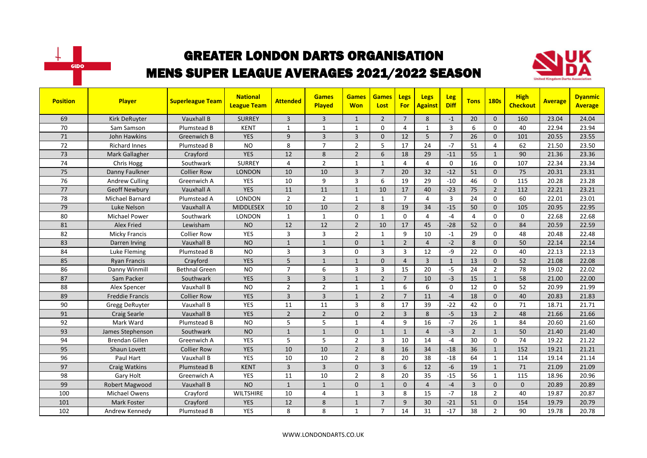



| <b>Position</b> | Player                 | <b>Superleague Team</b> | <b>National</b><br><b>League Team</b> | <b>Attended</b> | <b>Games</b><br><b>Played</b> | <b>Games</b><br><b>Won</b> | <b>Games</b><br>Lost | Legs<br><b>For</b> | <b>Legs</b><br><b>Against</b> | <b>Leg</b><br><b>Diff</b> | <b>Tons</b>    | <b>180s</b>    | <b>High</b><br><b>Checkout</b> | <b>Average</b> | <b>Dyanmic</b><br><b>Average</b> |
|-----------------|------------------------|-------------------------|---------------------------------------|-----------------|-------------------------------|----------------------------|----------------------|--------------------|-------------------------------|---------------------------|----------------|----------------|--------------------------------|----------------|----------------------------------|
| 69              | Kirk DeRuyter          | Vauxhall B              | <b>SURREY</b>                         | 3               | $\overline{3}$                | $\mathbf{1}$               | $\overline{2}$       | $\overline{7}$     | 8                             | $-1$                      | 20             | $\Omega$       | 160                            | 23.04          | 24.04                            |
| 70              | Sam Samson             | Plumstead B             | <b>KENT</b>                           | $\mathbf{1}$    | $\mathbf{1}$                  | 1                          | $\Omega$             | 4                  | $\mathbf{1}$                  | $\overline{3}$            | 6              | $\Omega$       | 40                             | 22.94          | 23.94                            |
| 71              | John Hawkins           | Greenwich B             | <b>YES</b>                            | 9               | $\overline{3}$                | 3                          | $\mathbf{0}$         | 12                 | 5                             | $\overline{7}$            | 26             | $\mathbf{0}$   | 101                            | 20.55          | 23.55                            |
| 72              | <b>Richard Innes</b>   | Plumstead B             | <b>NO</b>                             | 8               | $\overline{7}$                | $\overline{2}$             | 5                    | 17                 | 24                            | $-7$                      | 51             | 4              | 62                             | 21.50          | 23.50                            |
| 73              | Mark Gallagher         | Crayford                | <b>YES</b>                            | 12              | 8                             | $\overline{2}$             | 6                    | 18                 | 29                            | $-11$                     | 55             | $\mathbf{1}$   | 90                             | 21.36          | 23.36                            |
| 74              | Chris Hogg             | Southwark               | <b>SURREY</b>                         | 4               | $\overline{2}$                | $\mathbf{1}$               | $\mathbf{1}$         | 4                  | 4                             | $\mathbf 0$               | 16             | $\Omega$       | 107                            | 22.34          | 23.34                            |
| 75              | Danny Faulkner         | <b>Collier Row</b>      | <b>LONDON</b>                         | 10              | 10                            | $\overline{3}$             | $\overline{7}$       | 20                 | 32                            | $-12$                     | 51             | $\mathbf{0}$   | 75                             | 20.31          | 23.31                            |
| 76              | <b>Andrew Culling</b>  | Greenwich A             | <b>YES</b>                            | 10              | 9                             | $\overline{3}$             | 6                    | 19                 | 29                            | $-10$                     | 46             | $\mathbf 0$    | 115                            | 20.28          | 23.28                            |
| 77              | <b>Geoff Newbury</b>   | Vauxhall A              | <b>YES</b>                            | 11              | 11                            | $\mathbf{1}$               | 10                   | 17                 | 40                            | $-23$                     | 75             | $\overline{2}$ | 112                            | 22.21          | 23.21                            |
| 78              | <b>Michael Barnard</b> | Plumstead A             | <b>LONDON</b>                         | $\overline{2}$  | $\overline{2}$                | $\mathbf{1}$               | $\mathbf{1}$         | $\overline{7}$     | 4                             | $\overline{3}$            | 24             | $\Omega$       | 60                             | 22.01          | 23.01                            |
| 79              | Luke Nelson            | Vauxhall A              | <b>MIDDLESEX</b>                      | 10              | 10                            | $\overline{2}$             | 8                    | 19                 | 34                            | $-15$                     | 50             | $\mathbf{0}$   | 105                            | 20.95          | 22.95                            |
| 80              | <b>Michael Power</b>   | Southwark               | LONDON                                | $\mathbf{1}$    | $\mathbf{1}$                  | 0                          | $\mathbf{1}$         | $\mathbf{0}$       | 4                             | $-4$                      | $\overline{4}$ | $\Omega$       | 0                              | 22.68          | 22.68                            |
| 81              | <b>Alex Fried</b>      | Lewisham                | <b>NO</b>                             | 12              | 12                            | $\overline{2}$             | 10                   | 17                 | 45                            | $-28$                     | 52             | $\Omega$       | 84                             | 20.59          | 22.59                            |
| 82              | <b>Micky Francis</b>   | <b>Collier Row</b>      | <b>YES</b>                            | 3               | $\overline{3}$                | $\overline{2}$             | $\mathbf{1}$         | 9                  | 10                            | $-1$                      | 29             | $\Omega$       | 48                             | 20.48          | 22.48                            |
| 83              | Darren Irving          | Vauxhall B              | <b>NO</b>                             | $\mathbf{1}$    | $\overline{1}$                | 0                          | $\mathbf{1}$         | $\overline{2}$     | $\overline{4}$                | $-2$                      | 8              | $\mathbf 0$    | 50                             | 22.14          | 22.14                            |
| 84              | Luke Fleming           | Plumstead B             | <b>NO</b>                             | 3               | $\overline{3}$                | 0                          | 3                    | 3                  | 12                            | -9                        | 22             | $\Omega$       | 40                             | 22.13          | 22.13                            |
| 85              | <b>Ryan Francis</b>    | Crayford                | <b>YES</b>                            | 5               | $\mathbf{1}$                  | $\mathbf{1}$               | $\Omega$             | $\overline{4}$     | $\overline{3}$                | $\mathbf{1}$              | 13             | $\Omega$       | 52                             | 21.08          | 22.08                            |
| 86              | Danny Winmill          | <b>Bethnal Green</b>    | <b>NO</b>                             | $\overline{7}$  | 6                             | 3                          | $\overline{3}$       | 15                 | 20                            | $-5$                      | 24             | $\overline{2}$ | 78                             | 19.02          | 22.02                            |
| 87              | Sam Packer             | Southwark               | <b>YES</b>                            | $\overline{3}$  | $\overline{3}$                | $\mathbf{1}$               | $\overline{2}$       | $\overline{7}$     | 10                            | $-3$                      | 15             | $\mathbf{1}$   | 58                             | 21.00          | 22.00                            |
| 88              | Alex Spencer           | Vauxhall B              | <b>NO</b>                             | $\overline{2}$  | $\overline{2}$                | 1                          | 1                    | 6                  | 6                             | $\mathbf 0$               | 12             | $\mathbf 0$    | 52                             | 20.99          | 21.99                            |
| 89              | Freddie Francis        | Collier Row             | <b>YES</b>                            | 3               | $\overline{3}$                | $\mathbf{1}$               | $\overline{2}$       | $\overline{7}$     | 11                            | $-4$                      | 18             | $\mathbf{0}$   | 40                             | 20.83          | 21.83                            |
| 90              | <b>Gregg DeRuyter</b>  | Vauxhall B              | YES                                   | 11              | 11                            | 3                          | 8                    | 17                 | 39                            | $-22$                     | 42             | $\Omega$       | 71                             | 18.71          | 21.71                            |
| 91              | <b>Craig Searle</b>    | Vauxhall B              | <b>YES</b>                            | $\overline{2}$  | $\overline{2}$                | $\mathbf{0}$               | $\overline{2}$       | $\overline{3}$     | 8                             | $-5$                      | 13             | $\overline{2}$ | 48                             | 21.66          | 21.66                            |
| 92              | Mark Ward              | Plumstead B             | <b>NO</b>                             | 5               | 5                             | 1                          | $\overline{4}$       | 9                  | 16                            | $-7$                      | 26             | $\mathbf{1}$   | 84                             | 20.60          | 21.60                            |
| 93              | James Stephenson       | Southwark               | <b>NO</b>                             | $\mathbf{1}$    | $\mathbf{1}$                  | $\mathbf{0}$               | $\mathbf{1}$         | $\mathbf{1}$       | $\overline{4}$                | $-3$                      | $\overline{2}$ | $\mathbf{1}$   | 50                             | 21.40          | 21.40                            |
| 94              | <b>Brendan Gillen</b>  | Greenwich A             | <b>YES</b>                            | 5               | 5                             | $\overline{2}$             | 3                    | 10                 | 14                            | $-4$                      | 30             | $\Omega$       | 74                             | 19.22          | 21.22                            |
| 95              | Shaun Lovett           | <b>Collier Row</b>      | <b>YES</b>                            | 10              | 10                            | $\overline{2}$             | 8                    | 16                 | 34                            | $-18$                     | 36             | $\mathbf{1}$   | 152                            | 19.21          | 21.21                            |
| 96              | Paul Hart              | Vauxhall B              | YES                                   | 10              | 10                            | $\overline{2}$             | 8                    | 20                 | 38                            | $-18$                     | 64             | $\mathbf{1}$   | 114                            | 19.14          | 21.14                            |
| 97              | <b>Craig Watkins</b>   | Plumstead B             | <b>KENT</b>                           | 3               | $\overline{3}$                | $\Omega$                   | $\overline{3}$       | 6                  | 12                            | $-6$                      | 19             | $\mathbf{1}$   | 71                             | 21.09          | 21.09                            |
| 98              | Gary Holt              | Greenwich A             | <b>YES</b>                            | 11              | 10                            | $\overline{2}$             | 8                    | 20                 | 35                            | $-15$                     | 56             | $\mathbf{1}$   | 115                            | 18.96          | 20.96                            |
| 99              | Robert Magwood         | Vauxhall B              | <b>NO</b>                             | $\mathbf{1}$    | $\overline{1}$                | $\Omega$                   | $\mathbf{1}$         | $\Omega$           | $\overline{4}$                | $-4$                      | $\overline{3}$ | $\Omega$       | $\Omega$                       | 20.89          | 20.89                            |
| 100             | Michael Owens          | Crayford                | <b>WILTSHIRE</b>                      | 10              | $\overline{4}$                | $\mathbf{1}$               | 3                    | 8                  | 15                            | $-7$                      | 18             | $\overline{2}$ | 40                             | 19.87          | 20.87                            |
| 101             | Mark Foster            | Crayford                | <b>YES</b>                            | 12              | 8                             | $\mathbf{1}$               | $\overline{7}$       | 9                  | 30                            | $-21$                     | 51             | $\mathbf{0}$   | 154                            | 19.79          | 20.79                            |
| 102             | Andrew Kennedy         | Plumstead B             | <b>YES</b>                            | 8               | 8                             | $\mathbf{1}$               | $\overline{7}$       | 14                 | 31                            | $-17$                     | 38             | $\overline{2}$ | 90                             | 19.78          | 20.78                            |